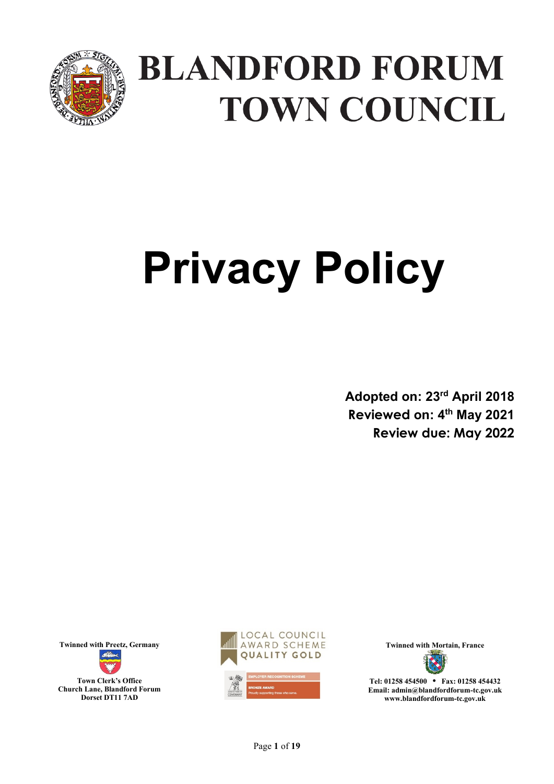

# **BLANDFORD FORUM TOWN COUNCIL**

# **Privacy Policy**

**Adopted on: 23rd April 2018 Reviewed on: 4th May 2021 Review due: May 2022**

**Town Clerk's Office Church Lane, Blandford Forum Dorset DT11 7AD** 





**Tel: 01258 454500 • Fax: 01258 454432 Email: admin@blandfordforum-tc.gov.uk www.blandfordforum-tc.gov.uk**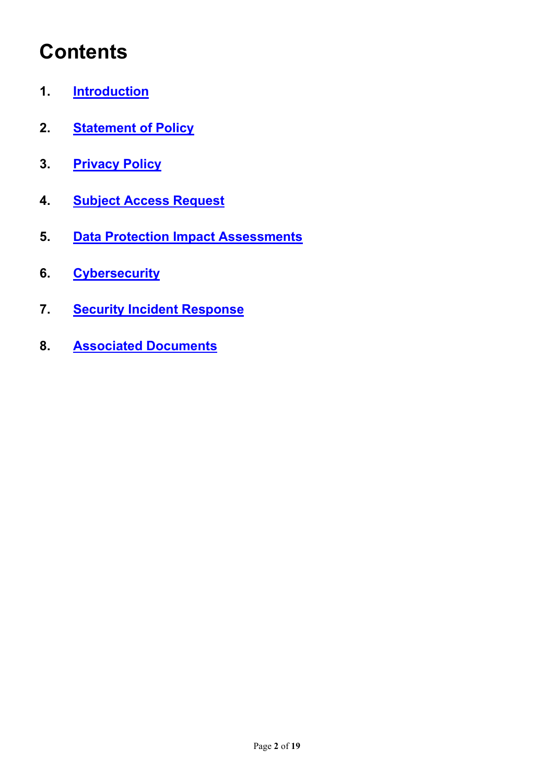# **Contents**

- **1. [Introduction](#page-2-0)**
- **2. [Statement of Policy](#page-2-1)**
- **3. [Privacy Policy](#page-3-0)**
- **4. [Subject Access Request](#page-7-0)**
- **5. [Data Protection Impact Assessments](#page-8-0)**
- **6. [Cybersecurity](#page-8-1)**
- **7. [Security Incident Response](#page-8-2)**
- **8. [Associated Documents](#page-9-0)**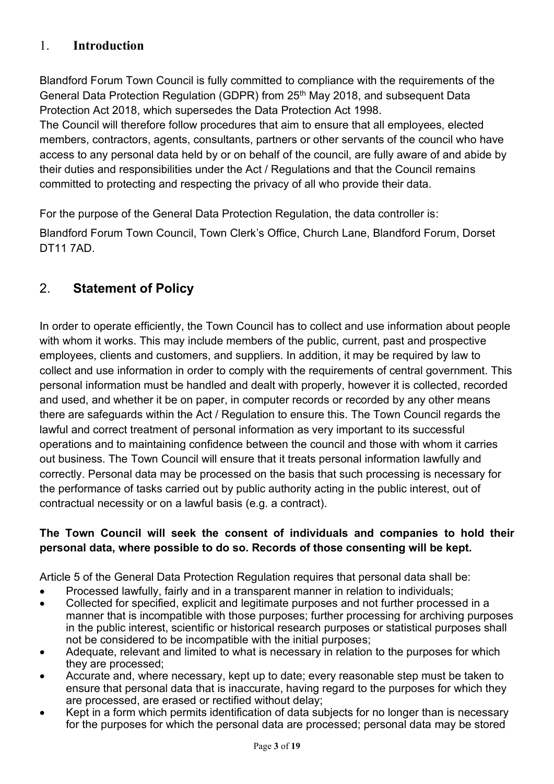#### <span id="page-2-0"></span>1. **Introduction**

Blandford Forum Town Council is fully committed to compliance with the requirements of the General Data Protection Regulation (GDPR) from 25<sup>th</sup> May 2018, and subsequent Data Protection Act 2018, which supersedes the Data Protection Act 1998.

The Council will therefore follow procedures that aim to ensure that all employees, elected members, contractors, agents, consultants, partners or other servants of the council who have access to any personal data held by or on behalf of the council, are fully aware of and abide by their duties and responsibilities under the Act / Regulations and that the Council remains committed to protecting and respecting the privacy of all who provide their data.

For the purpose of the General Data Protection Regulation, the data controller is:

Blandford Forum Town Council, Town Clerk's Office, Church Lane, Blandford Forum, Dorset DT11 7AD.

### <span id="page-2-1"></span>2. **Statement of Policy**

In order to operate efficiently, the Town Council has to collect and use information about people with whom it works. This may include members of the public, current, past and prospective employees, clients and customers, and suppliers. In addition, it may be required by law to collect and use information in order to comply with the requirements of central government. This personal information must be handled and dealt with properly, however it is collected, recorded and used, and whether it be on paper, in computer records or recorded by any other means there are safeguards within the Act / Regulation to ensure this. The Town Council regards the lawful and correct treatment of personal information as very important to its successful operations and to maintaining confidence between the council and those with whom it carries out business. The Town Council will ensure that it treats personal information lawfully and correctly. Personal data may be processed on the basis that such processing is necessary for the performance of tasks carried out by public authority acting in the public interest, out of contractual necessity or on a lawful basis (e.g. a contract).

#### **The Town Council will seek the consent of individuals and companies to hold their personal data, where possible to do so. Records of those consenting will be kept.**

Article 5 of the General Data Protection Regulation requires that personal data shall be:

- Processed lawfully, fairly and in a transparent manner in relation to individuals;
- Collected for specified, explicit and legitimate purposes and not further processed in a manner that is incompatible with those purposes; further processing for archiving purposes in the public interest, scientific or historical research purposes or statistical purposes shall not be considered to be incompatible with the initial purposes;
- Adequate, relevant and limited to what is necessary in relation to the purposes for which they are processed;
- Accurate and, where necessary, kept up to date; every reasonable step must be taken to ensure that personal data that is inaccurate, having regard to the purposes for which they are processed, are erased or rectified without delay;
- Kept in a form which permits identification of data subjects for no longer than is necessary for the purposes for which the personal data are processed; personal data may be stored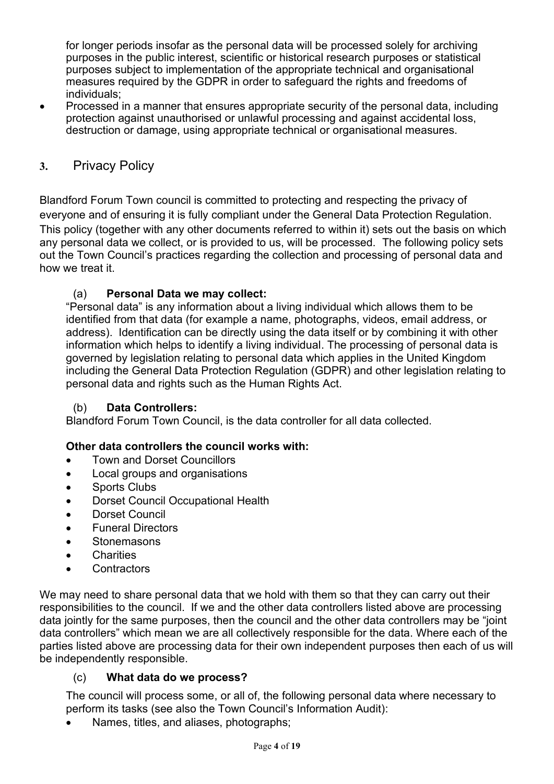for longer periods insofar as the personal data will be processed solely for archiving purposes in the public interest, scientific or historical research purposes or statistical purposes subject to implementation of the appropriate technical and organisational measures required by the GDPR in order to safeguard the rights and freedoms of individuals;

• Processed in a manner that ensures appropriate security of the personal data, including protection against unauthorised or unlawful processing and against accidental loss, destruction or damage, using appropriate technical or organisational measures.

#### <span id="page-3-0"></span>**3.** Privacy Policy

Blandford Forum Town council is committed to protecting and respecting the privacy of everyone and of ensuring it is fully compliant under the General Data Protection Regulation. This policy (together with any other documents referred to within it) sets out the basis on which any personal data we collect, or is provided to us, will be processed. The following policy sets out the Town Council's practices regarding the collection and processing of personal data and how we treat it.

#### (a) **Personal Data we may collect:**

"Personal data" is any information about a living individual which allows them to be identified from that data (for example a name, photographs, videos, email address, or address). Identification can be directly using the data itself or by combining it with other information which helps to identify a living individual. The processing of personal data is governed by legislation relating to personal data which applies in the United Kingdom including the General Data Protection Regulation (GDPR) and other legislation relating to personal data and rights such as the Human Rights Act.

#### (b) **Data Controllers:**

Blandford Forum Town Council, is the data controller for all data collected.

#### **Other data controllers the council works with:**

- Town and Dorset Councillors
- Local groups and organisations
- Sports Clubs
- Dorset Council Occupational Health
- Dorset Council
- Funeral Directors
- Stonemasons
- Charities
- Contractors

We may need to share personal data that we hold with them so that they can carry out their responsibilities to the council. If we and the other data controllers listed above are processing data jointly for the same purposes, then the council and the other data controllers may be "joint data controllers" which mean we are all collectively responsible for the data. Where each of the parties listed above are processing data for their own independent purposes then each of us will be independently responsible.

#### (c) **What data do we process?**

The council will process some, or all of, the following personal data where necessary to perform its tasks (see also the Town Council's Information Audit):

Names, titles, and aliases, photographs;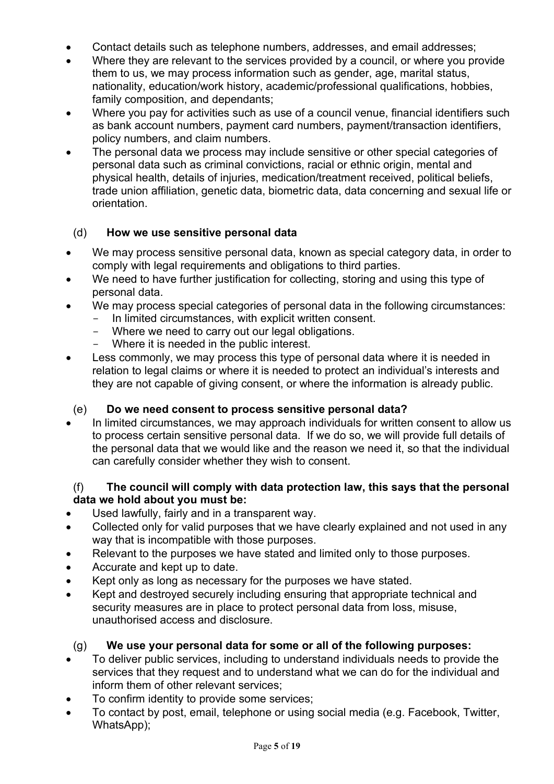- Contact details such as telephone numbers, addresses, and email addresses;
- Where they are relevant to the services provided by a council, or where you provide them to us, we may process information such as gender, age, marital status, nationality, education/work history, academic/professional qualifications, hobbies, family composition, and dependants;
- Where you pay for activities such as use of a council venue, financial identifiers such as bank account numbers, payment card numbers, payment/transaction identifiers, policy numbers, and claim numbers.
- The personal data we process may include sensitive or other special categories of personal data such as criminal convictions, racial or ethnic origin, mental and physical health, details of injuries, medication/treatment received, political beliefs, trade union affiliation, genetic data, biometric data, data concerning and sexual life or orientation.

#### (d) **How we use sensitive personal data**

- We may process sensitive personal data, known as special category data, in order to comply with legal requirements and obligations to third parties.
- We need to have further justification for collecting, storing and using this type of personal data.
- We may process special categories of personal data in the following circumstances:
	- In limited circumstances, with explicit written consent.<br>- Where we need to carry out our legal obligations
	- Where we need to carry out our legal obligations.
	- Where it is needed in the public interest.
- Less commonly, we may process this type of personal data where it is needed in relation to legal claims or where it is needed to protect an individual's interests and they are not capable of giving consent, or where the information is already public.

#### (e) **Do we need consent to process sensitive personal data?**

• In limited circumstances, we may approach individuals for written consent to allow us to process certain sensitive personal data. If we do so, we will provide full details of the personal data that we would like and the reason we need it, so that the individual can carefully consider whether they wish to consent.

#### (f) **The council will comply with data protection law, this says that the personal data we hold about you must be:**

- Used lawfully, fairly and in a transparent way.
- Collected only for valid purposes that we have clearly explained and not used in any way that is incompatible with those purposes.
- Relevant to the purposes we have stated and limited only to those purposes.
- Accurate and kept up to date.
- Kept only as long as necessary for the purposes we have stated.
- Kept and destroyed securely including ensuring that appropriate technical and security measures are in place to protect personal data from loss, misuse, unauthorised access and disclosure.

#### (g) **We use your personal data for some or all of the following purposes:**

- To deliver public services, including to understand individuals needs to provide the services that they request and to understand what we can do for the individual and inform them of other relevant services;
- To confirm identity to provide some services;
- To contact by post, email, telephone or using social media (e.g. Facebook, Twitter, WhatsApp);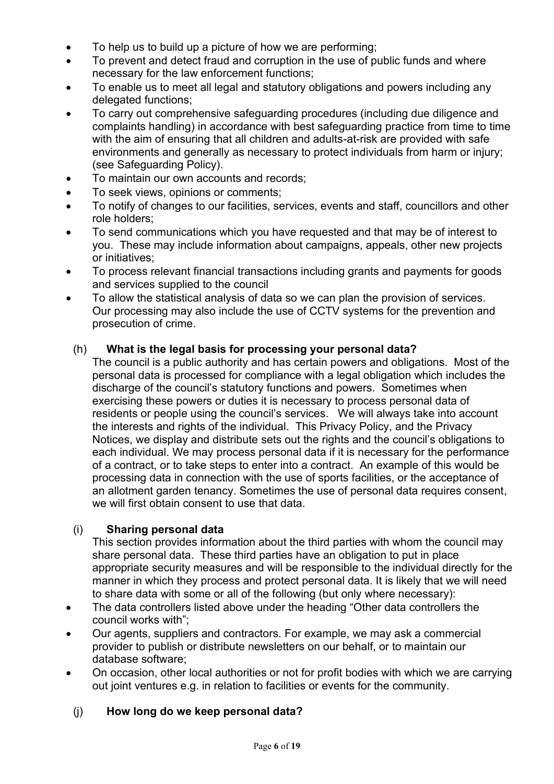- To help us to build up a picture of how we are performing;
- To prevent and detect fraud and corruption in the use of public funds and where necessary for the law enforcement functions;
- To enable us to meet all legal and statutory obligations and powers including any delegated functions;
- To carry out comprehensive safeguarding procedures (including due diligence and complaints handling) in accordance with best safeguarding practice from time to time with the aim of ensuring that all children and adults-at-risk are provided with safe environments and generally as necessary to protect individuals from harm or injury; (see Safeguarding Policy).
- To maintain our own accounts and records;
- To seek views, opinions or comments;
- To notify of changes to our facilities, services, events and staff, councillors and other role holders;
- To send communications which you have requested and that may be of interest to you. These may include information about campaigns, appeals, other new projects or initiatives;
- To process relevant financial transactions including grants and payments for goods and services supplied to the council
- To allow the statistical analysis of data so we can plan the provision of services. Our processing may also include the use of CCTV systems for the prevention and prosecution of crime.

#### (h) **What is the legal basis for processing your personal data?**

The council is a public authority and has certain powers and obligations. Most of the personal data is processed for compliance with a legal obligation which includes the discharge of the council's statutory functions and powers. Sometimes when exercising these powers or duties it is necessary to process personal data of residents or people using the council's services. We will always take into account the interests and rights of the individual. This Privacy Policy, and the Privacy Notices, we display and distribute sets out the rights and the council's obligations to each individual. We may process personal data if it is necessary for the performance of a contract, or to take steps to enter into a contract. An example of this would be processing data in connection with the use of sports facilities, or the acceptance of an allotment garden tenancy. Sometimes the use of personal data requires consent, we will first obtain consent to use that data.

#### (i) **Sharing personal data**

This section provides information about the third parties with whom the council may share personal data. These third parties have an obligation to put in place appropriate security measures and will be responsible to the individual directly for the manner in which they process and protect personal data. It is likely that we will need to share data with some or all of the following (but only where necessary):

- The data controllers listed above under the heading "Other data controllers the council works with";
- Our agents, suppliers and contractors. For example, we may ask a commercial provider to publish or distribute newsletters on our behalf, or to maintain our database software;
- On occasion, other local authorities or not for profit bodies with which we are carrying out joint ventures e.g. in relation to facilities or events for the community.

#### (j) **How long do we keep personal data?**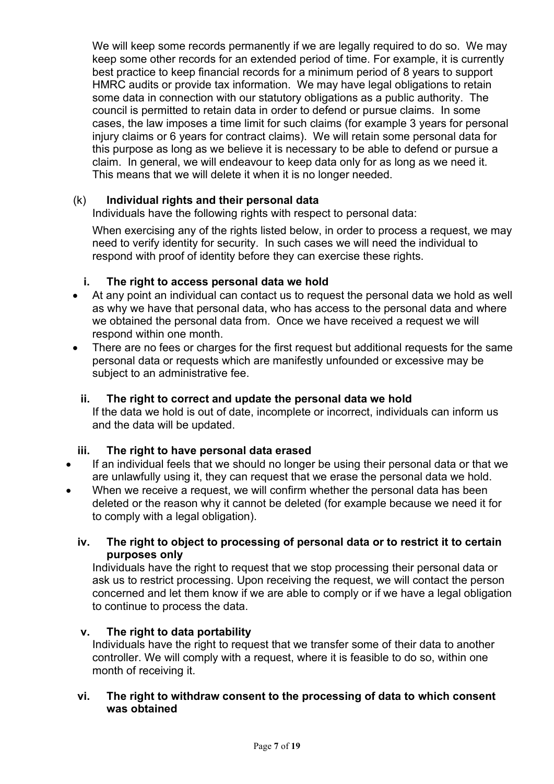We will keep some records permanently if we are legally required to do so. We may keep some other records for an extended period of time. For example, it is currently best practice to keep financial records for a minimum period of 8 years to support HMRC audits or provide tax information. We may have legal obligations to retain some data in connection with our statutory obligations as a public authority. The council is permitted to retain data in order to defend or pursue claims. In some cases, the law imposes a time limit for such claims (for example 3 years for personal injury claims or 6 years for contract claims). We will retain some personal data for this purpose as long as we believe it is necessary to be able to defend or pursue a claim. In general, we will endeavour to keep data only for as long as we need it. This means that we will delete it when it is no longer needed.

#### (k) **Individual rights and their personal data**

Individuals have the following rights with respect to personal data:

When exercising any of the rights listed below, in order to process a request, we may need to verify identity for security. In such cases we will need the individual to respond with proof of identity before they can exercise these rights.

#### **i. The right to access personal data we hold**

- At any point an individual can contact us to request the personal data we hold as well as why we have that personal data, who has access to the personal data and where we obtained the personal data from. Once we have received a request we will respond within one month.
- There are no fees or charges for the first request but additional requests for the same personal data or requests which are manifestly unfounded or excessive may be subject to an administrative fee.

#### **ii. The right to correct and update the personal data we hold**

If the data we hold is out of date, incomplete or incorrect, individuals can inform us and the data will be updated.

#### **iii. The right to have personal data erased**

- If an individual feels that we should no longer be using their personal data or that we are unlawfully using it, they can request that we erase the personal data we hold.
- When we receive a request, we will confirm whether the personal data has been deleted or the reason why it cannot be deleted (for example because we need it for to comply with a legal obligation).

#### **iv. The right to object to processing of personal data or to restrict it to certain purposes only**

Individuals have the right to request that we stop processing their personal data or ask us to restrict processing. Upon receiving the request, we will contact the person concerned and let them know if we are able to comply or if we have a legal obligation to continue to process the data.

#### **v. The right to data portability**

Individuals have the right to request that we transfer some of their data to another controller. We will comply with a request, where it is feasible to do so, within one month of receiving it.

#### **vi. The right to withdraw consent to the processing of data to which consent was obtained**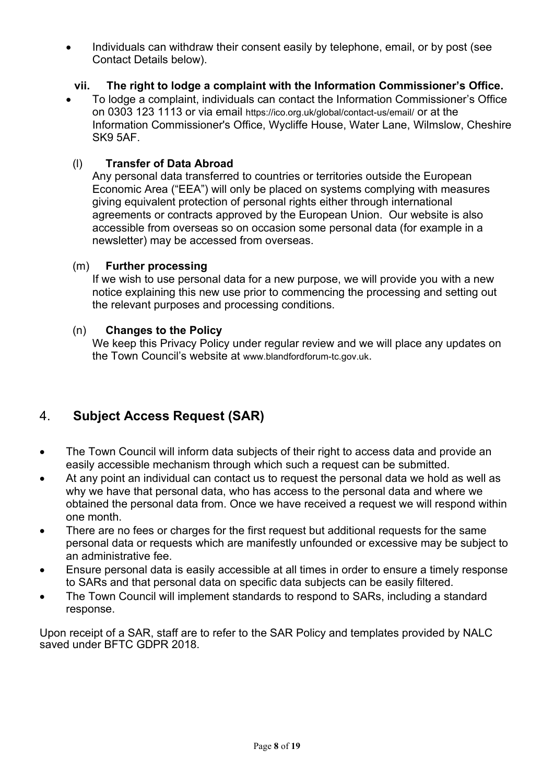• Individuals can withdraw their consent easily by telephone, email, or by post (see Contact Details below).

#### **vii. The right to lodge a complaint with the Information Commissioner's Office.**

• To lodge a complaint, individuals can contact the Information Commissioner's Office on 0303 123 1113 or via email <https://ico.org.uk/global/contact-us/email/> or at the Information Commissioner's Office, Wycliffe House, Water Lane, Wilmslow, Cheshire SK9 5AF.

#### (l) **Transfer of Data Abroad**

Any personal data transferred to countries or territories outside the European Economic Area ("EEA") will only be placed on systems complying with measures giving equivalent protection of personal rights either through international agreements or contracts approved by the European Union. Our website is also accessible from overseas so on occasion some personal data (for example in a newsletter) may be accessed from overseas.

#### (m) **Further processing**

If we wish to use personal data for a new purpose, we will provide you with a new notice explaining this new use prior to commencing the processing and setting out the relevant purposes and processing conditions.

#### (n) **Changes to the Policy**

We keep this Privacy Policy under regular review and we will place any updates on the Town Council's website at [www.blandfordforum-tc.gov.uk](http://www.blandfordforum-tc.gov.uk/).

## <span id="page-7-0"></span>4. **Subject Access Request (SAR)**

- The Town Council will inform data subjects of their right to access data and provide an easily accessible mechanism through which such a request can be submitted.
- At any point an individual can contact us to request the personal data we hold as well as why we have that personal data, who has access to the personal data and where we obtained the personal data from. Once we have received a request we will respond within one month.
- There are no fees or charges for the first request but additional requests for the same personal data or requests which are manifestly unfounded or excessive may be subject to an administrative fee.
- Ensure personal data is easily accessible at all times in order to ensure a timely response to SARs and that personal data on specific data subjects can be easily filtered.
- The Town Council will implement standards to respond to SARs, including a standard response.

Upon receipt of a SAR, staff are to refer to the SAR Policy and templates provided by NALC saved under BFTC GDPR 2018.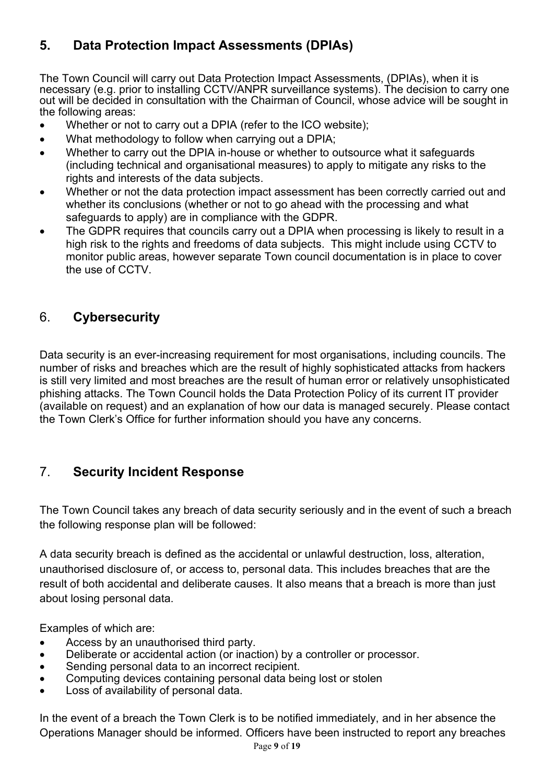# <span id="page-8-0"></span>**5. Data Protection Impact Assessments (DPIAs)**

The Town Council will carry out Data Protection Impact Assessments, (DPIAs), when it is necessary (e.g. prior to installing CCTV/ANPR surveillance systems). The decision to carry one out will be decided in consultation with the Chairman of Council, whose advice will be sought in the following areas:

- Whether or not to carry out a DPIA (refer to the ICO website);
- What methodology to follow when carrying out a DPIA;
- Whether to carry out the DPIA in-house or whether to outsource what it safeguards (including technical and organisational measures) to apply to mitigate any risks to the rights and interests of the data subjects.
- Whether or not the data protection impact assessment has been correctly carried out and whether its conclusions (whether or not to go ahead with the processing and what safeguards to apply) are in compliance with the GDPR.
- The GDPR requires that councils carry out a DPIA when processing is likely to result in a high risk to the rights and freedoms of data subjects. This might include using CCTV to monitor public areas, however separate Town council documentation is in place to cover the use of CCTV.

## <span id="page-8-1"></span>6. **Cybersecurity**

Data security is an ever-increasing requirement for most organisations, including councils. The number of risks and breaches which are the result of highly sophisticated attacks from hackers is still very limited and most breaches are the result of human error or relatively unsophisticated phishing attacks. The Town Council holds the Data Protection Policy of its current IT provider (available on request) and an explanation of how our data is managed securely. Please contact the Town Clerk's Office for further information should you have any concerns.

## <span id="page-8-2"></span>7. **Security Incident Response**

The Town Council takes any breach of data security seriously and in the event of such a breach the following response plan will be followed:

A data security breach is defined as the accidental or unlawful destruction, loss, alteration, unauthorised disclosure of, or access to, personal data. This includes breaches that are the result of both accidental and deliberate causes. It also means that a breach is more than just about losing personal data.

Examples of which are:

- Access by an unauthorised third party.
- Deliberate or accidental action (or inaction) by a controller or processor.
- Sending personal data to an incorrect recipient.
- Computing devices containing personal data being lost or stolen
- Loss of availability of personal data.

Page **9** of **19** In the event of a breach the Town Clerk is to be notified immediately, and in her absence the Operations Manager should be informed. Officers have been instructed to report any breaches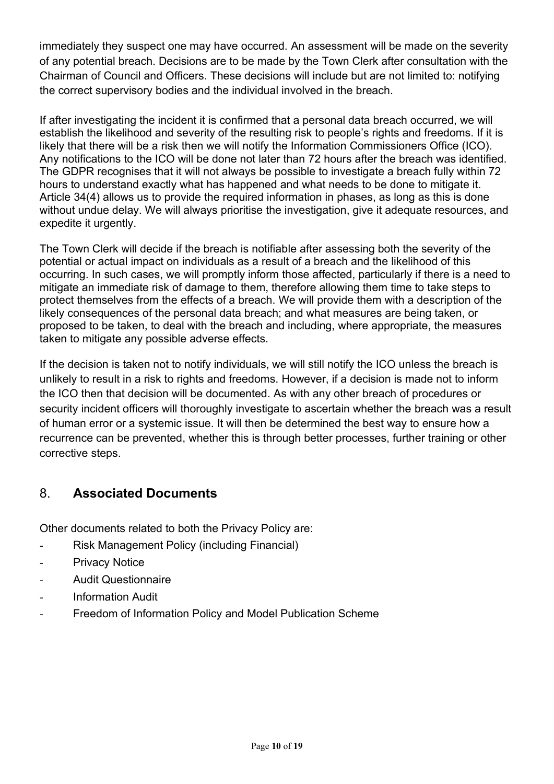immediately they suspect one may have occurred. An assessment will be made on the severity of any potential breach. Decisions are to be made by the Town Clerk after consultation with the Chairman of Council and Officers. These decisions will include but are not limited to: notifying the correct supervisory bodies and the individual involved in the breach.

If after investigating the incident it is confirmed that a personal data breach occurred, we will establish the likelihood and severity of the resulting risk to people's rights and freedoms. If it is likely that there will be a risk then we will notify the Information Commissioners Office (ICO). Any notifications to the ICO will be done not later than 72 hours after the breach was identified. The GDPR recognises that it will not always be possible to investigate a breach fully within 72 hours to understand exactly what has happened and what needs to be done to mitigate it. Article 34(4) allows us to provide the required information in phases, as long as this is done without undue delay. We will always prioritise the investigation, give it adequate resources, and expedite it urgently.

The Town Clerk will decide if the breach is notifiable after assessing both the severity of the potential or actual impact on individuals as a result of a breach and the likelihood of this occurring. In such cases, we will promptly inform those affected, particularly if there is a need to mitigate an immediate risk of damage to them, therefore allowing them time to take steps to protect themselves from the effects of a breach. We will provide them with a description of the likely consequences of the personal data breach; and what measures are being taken, or proposed to be taken, to deal with the breach and including, where appropriate, the measures taken to mitigate any possible adverse effects.

If the decision is taken not to notify individuals, we will still notify the ICO unless the breach is unlikely to result in a risk to rights and freedoms. However, if a decision is made not to inform the ICO then that decision will be documented. As with any other breach of procedures or security incident officers will thoroughly investigate to ascertain whether the breach was a result of human error or a systemic issue. It will then be determined the best way to ensure how a recurrence can be prevented, whether this is through better processes, further training or other corrective steps.

#### <span id="page-9-0"></span>8. **Associated Documents**

Other documents related to both the Privacy Policy are:

- Risk Management Policy (including Financial)
- Privacy Notice
- Audit Questionnaire
- Information Audit
- Freedom of Information Policy and Model Publication Scheme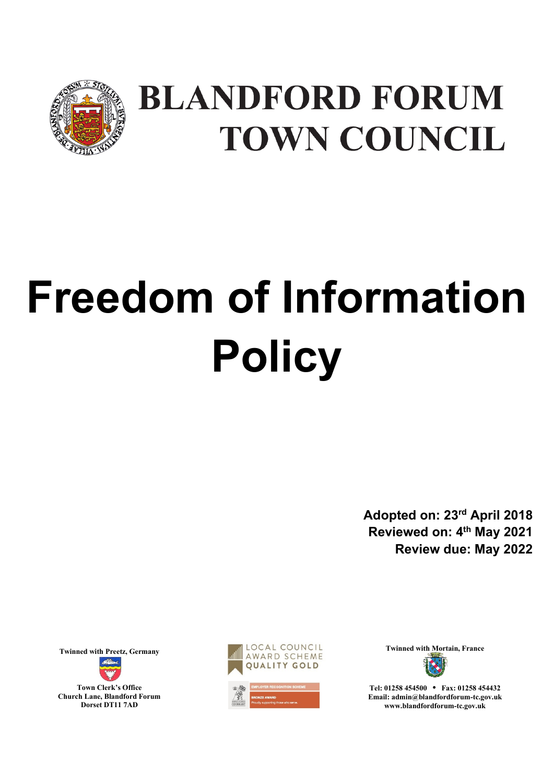

# **BLANDFORD FORUM TOWN COUNCIL**

# **Freedom of Information Policy**

**Adopted on: 23rd April 2018 Reviewed on: 4th May 2021 Review due: May 2022** 

**Town Clerk's Office Church Lane, Blandford Forum Dorset DT11 7AD** 





**Tel: 01258 454500 • Fax: 01258 454432 Email: admin@blandfordforum-tc.gov.uk www.blandfordforum-tc.gov.uk**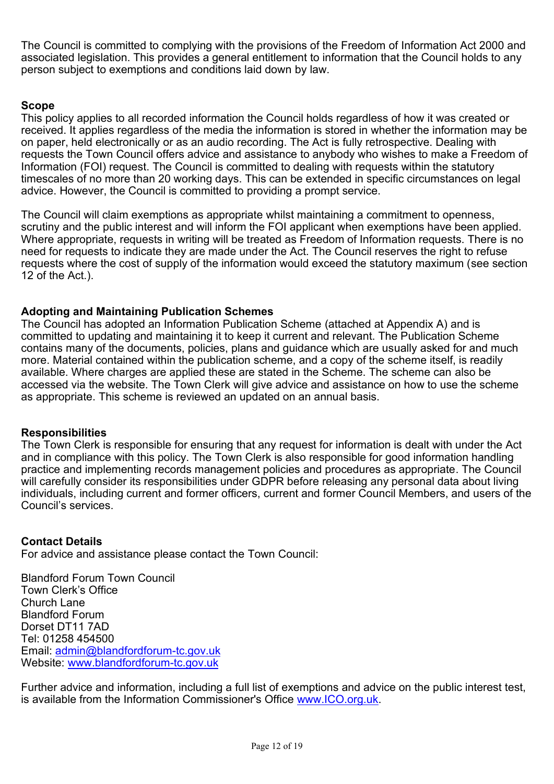The Council is committed to complying with the provisions of the Freedom of Information Act 2000 and associated legislation. This provides a general entitlement to information that the Council holds to any person subject to exemptions and conditions laid down by law.

#### **Scope**

This policy applies to all recorded information the Council holds regardless of how it was created or received. It applies regardless of the media the information is stored in whether the information may be on paper, held electronically or as an audio recording. The Act is fully retrospective. Dealing with requests the Town Council offers advice and assistance to anybody who wishes to make a Freedom of Information (FOI) request. The Council is committed to dealing with requests within the statutory timescales of no more than 20 working days. This can be extended in specific circumstances on legal advice. However, the Council is committed to providing a prompt service.

The Council will claim exemptions as appropriate whilst maintaining a commitment to openness, scrutiny and the public interest and will inform the FOI applicant when exemptions have been applied. Where appropriate, requests in writing will be treated as Freedom of Information requests. There is no need for requests to indicate they are made under the Act. The Council reserves the right to refuse requests where the cost of supply of the information would exceed the statutory maximum (see section 12 of the Act.).

#### **Adopting and Maintaining Publication Schemes**

The Council has adopted an Information Publication Scheme (attached at Appendix A) and is committed to updating and maintaining it to keep it current and relevant. The Publication Scheme contains many of the documents, policies, plans and guidance which are usually asked for and much more. Material contained within the publication scheme, and a copy of the scheme itself, is readily available. Where charges are applied these are stated in the Scheme. The scheme can also be accessed via the website. The Town Clerk will give advice and assistance on how to use the scheme as appropriate. This scheme is reviewed an updated on an annual basis.

#### **Responsibilities**

The Town Clerk is responsible for ensuring that any request for information is dealt with under the Act and in compliance with this policy. The Town Clerk is also responsible for good information handling practice and implementing records management policies and procedures as appropriate. The Council will carefully consider its responsibilities under GDPR before releasing any personal data about living individuals, including current and former officers, current and former Council Members, and users of the Council's services.

#### **Contact Details**

For advice and assistance please contact the Town Council:

Blandford Forum Town Council Town Clerk's Office Church Lane Blandford Forum Dorset DT11 7AD Tel: 01258 454500 Email: [admin@blandfordforum-tc.gov.uk](mailto:admin@blandfordforum-tc.gov.uk) Website: [www.blandfordforum-tc.gov.uk](http://www.blandfordforum-tc.gov.uk/)

Further advice and information, including a full list of exemptions and advice on the public interest test, is available from the Information Commissioner's Office [www.ICO.org.uk.](http://www.ico.org.uk/)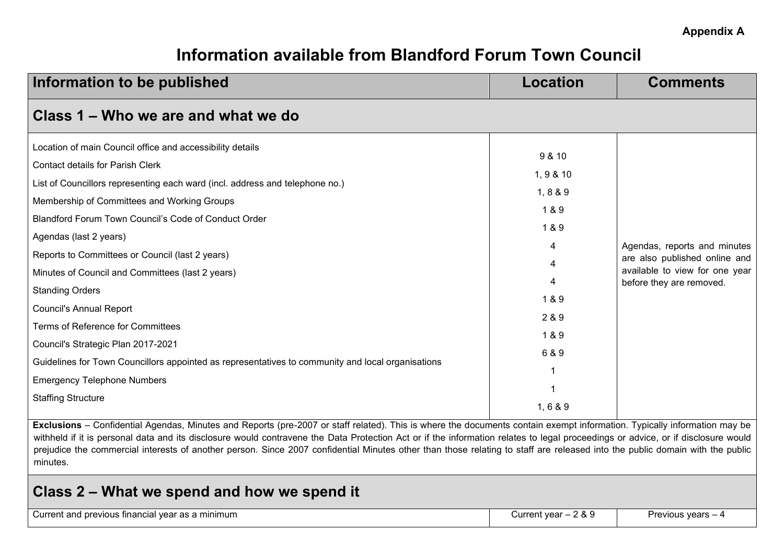#### **Appendix A**

# **Information available from Blandford Forum Town Council**

| Information to be published                                                                                                                                                                                                                                                                                                                                                                                                                                                                                                                                                                                                                                                                                                                        |                                                                                                               | <b>Comments</b>                                                                                                             |
|----------------------------------------------------------------------------------------------------------------------------------------------------------------------------------------------------------------------------------------------------------------------------------------------------------------------------------------------------------------------------------------------------------------------------------------------------------------------------------------------------------------------------------------------------------------------------------------------------------------------------------------------------------------------------------------------------------------------------------------------------|---------------------------------------------------------------------------------------------------------------|-----------------------------------------------------------------------------------------------------------------------------|
| Class 1 – Who we are and what we do                                                                                                                                                                                                                                                                                                                                                                                                                                                                                                                                                                                                                                                                                                                |                                                                                                               |                                                                                                                             |
| Location of main Council office and accessibility details<br><b>Contact details for Parish Clerk</b><br>List of Councillors representing each ward (incl. address and telephone no.)<br>Membership of Committees and Working Groups<br>Blandford Forum Town Council's Code of Conduct Order<br>Agendas (last 2 years)<br>Reports to Committees or Council (last 2 years)<br>Minutes of Council and Committees (last 2 years)<br><b>Standing Orders</b><br><b>Council's Annual Report</b><br><b>Terms of Reference for Committees</b><br>Council's Strategic Plan 2017-2021<br>Guidelines for Town Councillors appointed as representatives to community and local organisations<br><b>Emergency Telephone Numbers</b><br><b>Staffing Structure</b> | 9 & 10<br>1,98,10<br>1,8 & 9<br>1 & 9<br>1 & 9<br>4<br>4<br>4<br>1 & 9<br>2 & 9<br>1 & 9<br>6 & 9<br>1, 6 & 9 | Agendas, reports and minutes<br>are also published online and<br>available to view for one year<br>before they are removed. |

**Exclusions** – Confidential Agendas, Minutes and Reports (pre-2007 or staff related). This is where the documents contain exempt information. Typically information may be withheld if it is personal data and its disclosure would contravene the Data Protection Act or if the information relates to legal proceedings or advice, or if disclosure would prejudice the commercial interests of another person. Since 2007 confidential Minutes other than those relating to staff are released into the public domain with the public minutes.

# **Class 2 – What we spend and how we spend it**

| ິດ<br>Curre<br>minimum<br>ous financial '<br>MAGE SC<br>۰٬۰۰<br>10M<br>∪urren•<br>and<br>aэ<br>∍ca∟<br>, UIGVI<br>vca<br>. U U |
|--------------------------------------------------------------------------------------------------------------------------------|
|--------------------------------------------------------------------------------------------------------------------------------|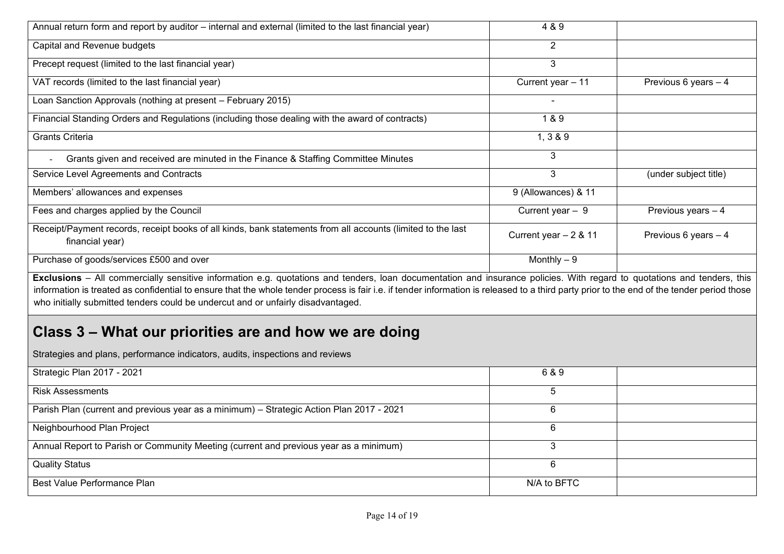| Annual return form and report by auditor – internal and external (limited to the last financial year)                          | 4 & 9                  |                       |
|--------------------------------------------------------------------------------------------------------------------------------|------------------------|-----------------------|
| Capital and Revenue budgets                                                                                                    | 2                      |                       |
| Precept request (limited to the last financial year)                                                                           | 3                      |                       |
| VAT records (limited to the last financial year)                                                                               | Current year - 11      | Previous 6 years - 4  |
| Loan Sanction Approvals (nothing at present - February 2015)                                                                   |                        |                       |
| Financial Standing Orders and Regulations (including those dealing with the award of contracts)                                | 1&9                    |                       |
| Grants Criteria                                                                                                                | 1, 3 & 89              |                       |
| Grants given and received are minuted in the Finance & Staffing Committee Minutes                                              | 3                      |                       |
| Service Level Agreements and Contracts                                                                                         | 3                      | (under subject title) |
| Members' allowances and expenses                                                                                               | 9 (Allowances) & 11    |                       |
| Fees and charges applied by the Council                                                                                        | Current year $-9$      | Previous years $-4$   |
| Receipt/Payment records, receipt books of all kinds, bank statements from all accounts (limited to the last<br>financial year) | Current year $-2$ & 11 | Previous 6 years - 4  |
| Purchase of goods/services £500 and over                                                                                       | Monthly $-9$           |                       |

**Exclusions** – All commercially sensitive information e.g. quotations and tenders, loan documentation and insurance policies. With regard to quotations and tenders, this information is treated as confidential to ensure that the whole tender process is fair i.e. if tender information is released to a third party prior to the end of the tender period those who initially submitted tenders could be undercut and or unfairly disadvantaged.

# **Class 3 – What our priorities are and how we are doing**

Strategies and plans, performance indicators, audits, inspections and reviews

| Strategic Plan 2017 - 2021                                                               | 6 & 9       |  |
|------------------------------------------------------------------------------------------|-------------|--|
| <b>Risk Assessments</b>                                                                  |             |  |
| Parish Plan (current and previous year as a minimum) - Strategic Action Plan 2017 - 2021 | 6.          |  |
| Neighbourhood Plan Project                                                               | 6           |  |
| Annual Report to Parish or Community Meeting (current and previous year as a minimum)    |             |  |
| <b>Quality Status</b>                                                                    | 6           |  |
| Best Value Performance Plan                                                              | N/A to BFTC |  |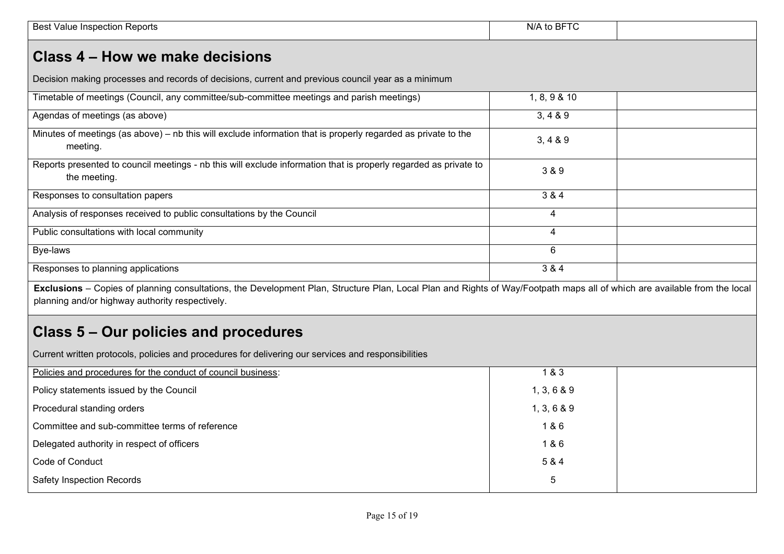| <b>Best Value Inspection Reports</b>                                                                                                                                                                                         | N/A to BFTC    |  |
|------------------------------------------------------------------------------------------------------------------------------------------------------------------------------------------------------------------------------|----------------|--|
| Class 4 – How we make decisions                                                                                                                                                                                              |                |  |
| Decision making processes and records of decisions, current and previous council year as a minimum                                                                                                                           |                |  |
|                                                                                                                                                                                                                              |                |  |
| Timetable of meetings (Council, any committee/sub-committee meetings and parish meetings)                                                                                                                                    | 1, 8, 9 & 10   |  |
| Agendas of meetings (as above)                                                                                                                                                                                               | 3, 489         |  |
| Minutes of meetings (as above) – nb this will exclude information that is properly regarded as private to the<br>meeting.                                                                                                    | 3, 4 & 89      |  |
| Reports presented to council meetings - nb this will exclude information that is properly regarded as private to<br>the meeting.                                                                                             | 3 & 9          |  |
| Responses to consultation papers                                                                                                                                                                                             | 384            |  |
| Analysis of responses received to public consultations by the Council                                                                                                                                                        | 4              |  |
| Public consultations with local community                                                                                                                                                                                    | $\overline{4}$ |  |
| Bye-laws                                                                                                                                                                                                                     | 6              |  |
| Responses to planning applications                                                                                                                                                                                           | 3 & 4          |  |
| Exclusions - Copies of planning consultations, the Development Plan, Structure Plan, Local Plan and Rights of Way/Footpath maps all of which are available from the local<br>planning and/or highway authority respectively. |                |  |
| Class 5 – Our policies and procedures                                                                                                                                                                                        |                |  |
| Current written protocols, policies and procedures for delivering our services and responsibilities                                                                                                                          |                |  |
|                                                                                                                                                                                                                              |                |  |
| Policies and procedures for the conduct of council business:                                                                                                                                                                 | 183            |  |
| Policy statements issued by the Council                                                                                                                                                                                      | 1, 3, 6 & 9    |  |
| Procedural standing orders                                                                                                                                                                                                   | 1, 3, 6 & 9    |  |
| Committee and sub-committee terms of reference                                                                                                                                                                               | 1&6            |  |
| Delegated authority in respect of officers                                                                                                                                                                                   | 1 & 6          |  |
| Code of Conduct                                                                                                                                                                                                              | 5 & 4          |  |
| <b>Safety Inspection Records</b>                                                                                                                                                                                             | 5              |  |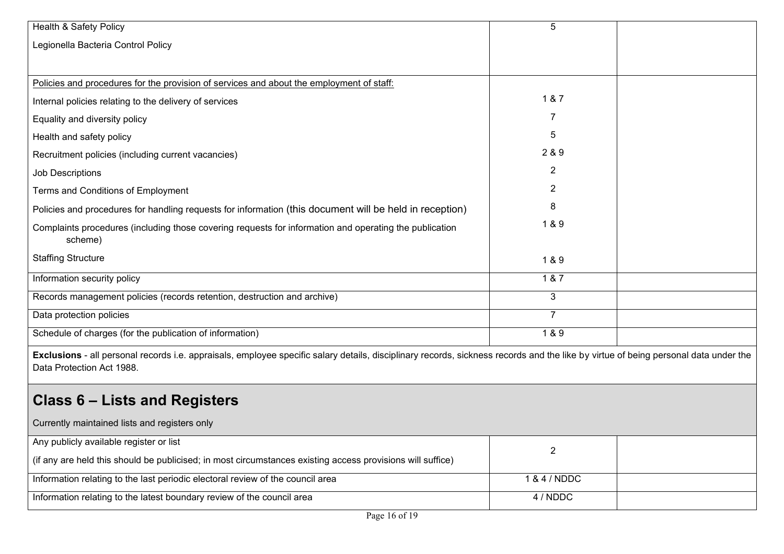| <b>Health &amp; Safety Policy</b>                                                                                                                                                                                | 5              |  |
|------------------------------------------------------------------------------------------------------------------------------------------------------------------------------------------------------------------|----------------|--|
| Legionella Bacteria Control Policy                                                                                                                                                                               |                |  |
|                                                                                                                                                                                                                  |                |  |
| Policies and procedures for the provision of services and about the employment of staff:                                                                                                                         |                |  |
| Internal policies relating to the delivery of services                                                                                                                                                           | 1 & 7          |  |
| Equality and diversity policy                                                                                                                                                                                    | 7              |  |
| Health and safety policy                                                                                                                                                                                         | 5              |  |
| Recruitment policies (including current vacancies)                                                                                                                                                               | 2 & 9          |  |
| Job Descriptions                                                                                                                                                                                                 | $\overline{2}$ |  |
| Terms and Conditions of Employment                                                                                                                                                                               | $\overline{2}$ |  |
| Policies and procedures for handling requests for information (this document will be held in reception)                                                                                                          | 8              |  |
| Complaints procedures (including those covering requests for information and operating the publication<br>scheme)                                                                                                | 1 & 9          |  |
| <b>Staffing Structure</b>                                                                                                                                                                                        | 1 & 9          |  |
| Information security policy                                                                                                                                                                                      | 187            |  |
| Records management policies (records retention, destruction and archive)                                                                                                                                         | 3              |  |
| Data protection policies                                                                                                                                                                                         | $\overline{7}$ |  |
| Schedule of charges (for the publication of information)                                                                                                                                                         | 1 & 9          |  |
| Exclusions - all personal records i.e. appraisals, employee specific salary details, disciplinary records, sickness records and the like by virtue of being personal data under the<br>Data Protection Act 1988. |                |  |
| <b>Class 6 – Lists and Registers</b>                                                                                                                                                                             |                |  |
| Currently maintained lists and registers only                                                                                                                                                                    |                |  |
| Any publicly available register or list                                                                                                                                                                          | $\overline{2}$ |  |
| (if any are held this should be publicised; in most circumstances existing access provisions will suffice)                                                                                                       |                |  |
| Information relating to the last periodic electoral review of the council area                                                                                                                                   | 1 & 4 / NDDC   |  |
| Information relating to the latest boundary review of the council area                                                                                                                                           | 4 / NDDC       |  |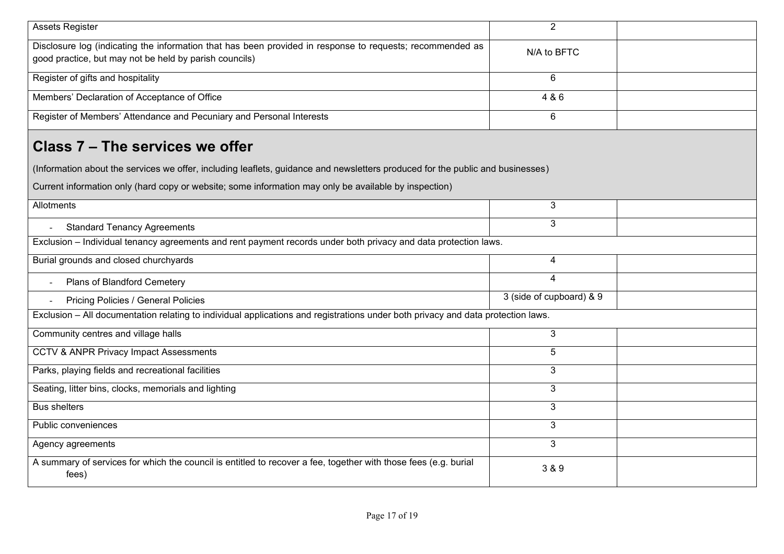| Assets Register                                                                                                                                                     | $\overline{2}$           |  |
|---------------------------------------------------------------------------------------------------------------------------------------------------------------------|--------------------------|--|
| Disclosure log (indicating the information that has been provided in response to requests; recommended as<br>good practice, but may not be held by parish councils) | N/A to BFTC              |  |
| Register of gifts and hospitality                                                                                                                                   | 6                        |  |
| Members' Declaration of Acceptance of Office                                                                                                                        | 4 & 6                    |  |
| Register of Members' Attendance and Pecuniary and Personal Interests                                                                                                | 6                        |  |
| Class 7 – The services we offer                                                                                                                                     |                          |  |
| (Information about the services we offer, including leaflets, guidance and newsletters produced for the public and businesses)                                      |                          |  |
| Current information only (hard copy or website; some information may only be available by inspection)                                                               |                          |  |
| Allotments                                                                                                                                                          | 3                        |  |
| <b>Standard Tenancy Agreements</b>                                                                                                                                  | 3                        |  |
| Exclusion - Individual tenancy agreements and rent payment records under both privacy and data protection laws.                                                     |                          |  |
| Burial grounds and closed churchyards                                                                                                                               | $\overline{4}$           |  |
| Plans of Blandford Cemetery                                                                                                                                         | 4                        |  |
| Pricing Policies / General Policies                                                                                                                                 | 3 (side of cupboard) & 9 |  |
| Exclusion - All documentation relating to individual applications and registrations under both privacy and data protection laws.                                    |                          |  |
| Community centres and village halls                                                                                                                                 | 3                        |  |
| <b>CCTV &amp; ANPR Privacy Impact Assessments</b>                                                                                                                   | 5                        |  |
| Parks, playing fields and recreational facilities                                                                                                                   | 3                        |  |
| Seating, litter bins, clocks, memorials and lighting                                                                                                                | 3                        |  |
| <b>Bus shelters</b>                                                                                                                                                 | 3                        |  |
| Public conveniences                                                                                                                                                 | 3                        |  |
| Agency agreements                                                                                                                                                   | 3                        |  |
| A summary of services for which the council is entitled to recover a fee, together with those fees (e.g. burial<br>fees)                                            | 3 & 9                    |  |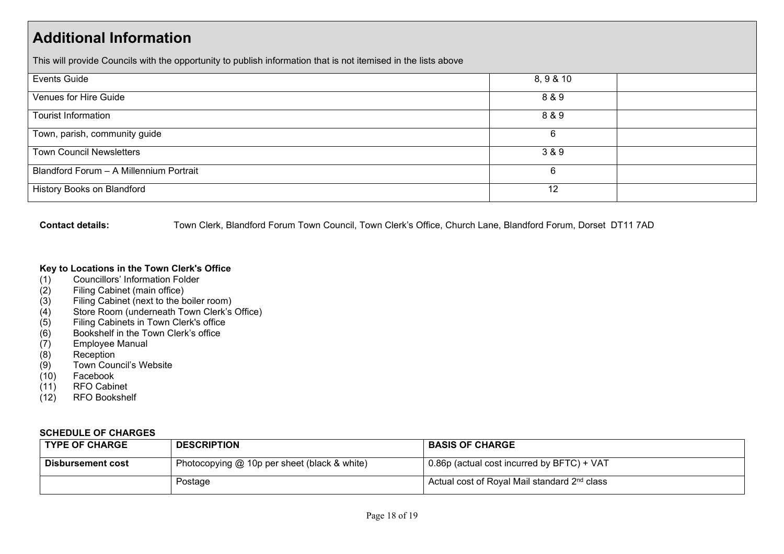# **Additional Information**

This will provide Councils with the opportunity to publish information that is not itemised in the lists above

| <b>Events Guide</b>                     | 8, 9 & 10 |  |
|-----------------------------------------|-----------|--|
| Venues for Hire Guide                   | 8 & 9     |  |
| <b>Tourist Information</b>              | 8 & 9     |  |
| Town, parish, community guide           |           |  |
| <b>Town Council Newsletters</b>         | 3 & 9     |  |
| Blandford Forum - A Millennium Portrait |           |  |
| History Books on Blandford              | -12       |  |

**Contact details:** Town Clerk, Blandford Forum Town Council, Town Clerk's Office, Church Lane, Blandford Forum, Dorset DT11 7AD

#### **Key to Locations in the Town Clerk's Office**

- (1) Councillors' Information Folder<br>(2) Filing Cabinet (main office)
- (2) Filing Cabinet (main office)<br>(3) Filing Cabinet (next to the b
- $(3)$  Filing Cabinet (next to the boiler room)<br>  $(4)$  Store Room (underneath Town Clerk's
- (4) Store Room (underneath Town Clerk's Office)<br>(5) Filing Cabinets in Town Clerk's office
- (5) Filing Cabinets in Town Clerk's office<br>(6) Bookshelf in the Town Clerk's office
- $\overline{66}$  Bookshelf in the Town Clerk's office<br>(7) Employee Manual
- $(7)$  Employee Manual<br>(8) Reception
- (8) Reception<br>(9) Town Cour
- (9) Town Council's Website<br>(10) Facebook
- Facebook
- (11) RFO Cabinet<br>(12) RFO Bookshe
- RFO Bookshelf

#### **SCHEDULE OF CHARGES**

| <b>TYPE OF CHARGE</b> | <b>DESCRIPTION</b>                           | <b>BASIS OF CHARGE</b>                                   |
|-----------------------|----------------------------------------------|----------------------------------------------------------|
| Disbursement cost     | Photocopying @ 10p per sheet (black & white) | 0.86p (actual cost incurred by BFTC) + VAT               |
|                       | Postage                                      | Actual cost of Roval Mail standard 2 <sup>nd</sup> class |